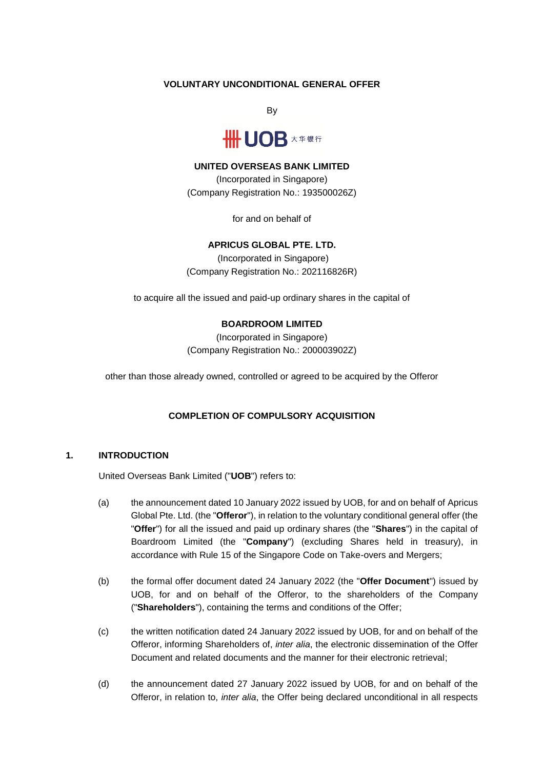### **VOLUNTARY UNCONDITIONAL GENERAL OFFER**

By



#### **UNITED OVERSEAS BANK LIMITED**

(Incorporated in Singapore) (Company Registration No.: 193500026Z)

for and on behalf of

# **APRICUS GLOBAL PTE. LTD.**

(Incorporated in Singapore) (Company Registration No.: 202116826R)

to acquire all the issued and paid-up ordinary shares in the capital of

### **BOARDROOM LIMITED**

(Incorporated in Singapore) (Company Registration No.: 200003902Z)

other than those already owned, controlled or agreed to be acquired by the Offeror

### **COMPLETION OF COMPULSORY ACQUISITION**

## **1. INTRODUCTION**

United Overseas Bank Limited ("**UOB**") refers to:

- (a) the announcement dated 10 January 2022 issued by UOB, for and on behalf of Apricus Global Pte. Ltd. (the "**Offeror**"), in relation to the voluntary conditional general offer (the "**Offer**") for all the issued and paid up ordinary shares (the "**Shares**") in the capital of Boardroom Limited (the "**Company**") (excluding Shares held in treasury), in accordance with Rule 15 of the Singapore Code on Take-overs and Mergers;
- (b) the formal offer document dated 24 January 2022 (the "**Offer Document**") issued by UOB, for and on behalf of the Offeror, to the shareholders of the Company ("**Shareholders**"), containing the terms and conditions of the Offer;
- (c) the written notification dated 24 January 2022 issued by UOB, for and on behalf of the Offeror, informing Shareholders of, *inter alia*, the electronic dissemination of the Offer Document and related documents and the manner for their electronic retrieval;
- (d) the announcement dated 27 January 2022 issued by UOB, for and on behalf of the Offeror, in relation to, *inter alia*, the Offer being declared unconditional in all respects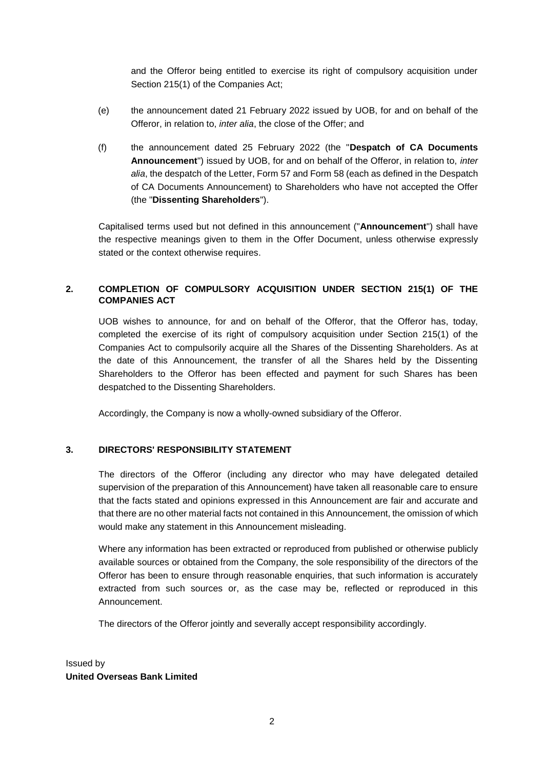and the Offeror being entitled to exercise its right of compulsory acquisition under Section 215(1) of the Companies Act;

- (e) the announcement dated 21 February 2022 issued by UOB, for and on behalf of the Offeror, in relation to, *inter alia*, the close of the Offer; and
- (f) the announcement dated 25 February 2022 (the "**Despatch of CA Documents Announcement**") issued by UOB, for and on behalf of the Offeror, in relation to, *inter alia*, the despatch of the Letter, Form 57 and Form 58 (each as defined in the Despatch of CA Documents Announcement) to Shareholders who have not accepted the Offer (the "**Dissenting Shareholders**").

Capitalised terms used but not defined in this announcement ("**Announcement**") shall have the respective meanings given to them in the Offer Document, unless otherwise expressly stated or the context otherwise requires.

## **2. COMPLETION OF COMPULSORY ACQUISITION UNDER SECTION 215(1) OF THE COMPANIES ACT**

UOB wishes to announce, for and on behalf of the Offeror, that the Offeror has, today, completed the exercise of its right of compulsory acquisition under Section 215(1) of the Companies Act to compulsorily acquire all the Shares of the Dissenting Shareholders. As at the date of this Announcement, the transfer of all the Shares held by the Dissenting Shareholders to the Offeror has been effected and payment for such Shares has been despatched to the Dissenting Shareholders.

Accordingly, the Company is now a wholly-owned subsidiary of the Offeror.

### **3. DIRECTORS' RESPONSIBILITY STATEMENT**

The directors of the Offeror (including any director who may have delegated detailed supervision of the preparation of this Announcement) have taken all reasonable care to ensure that the facts stated and opinions expressed in this Announcement are fair and accurate and that there are no other material facts not contained in this Announcement, the omission of which would make any statement in this Announcement misleading.

Where any information has been extracted or reproduced from published or otherwise publicly available sources or obtained from the Company, the sole responsibility of the directors of the Offeror has been to ensure through reasonable enquiries, that such information is accurately extracted from such sources or, as the case may be, reflected or reproduced in this Announcement.

The directors of the Offeror jointly and severally accept responsibility accordingly.

Issued by **United Overseas Bank Limited**